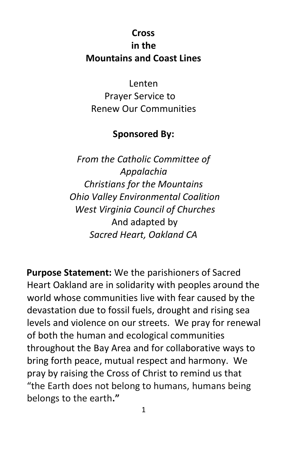#### **Cross in the Mountains and Coast Lines**

Lenten Prayer Service to Renew Our Communities

#### **Sponsored By:**

*From the Catholic Committee of Appalachia Christians for the Mountains Ohio Valley Environmental Coalition West Virginia Council of Churches* And adapted by *Sacred Heart, Oakland CA*

**Purpose Statement:** We the parishioners of Sacred Heart Oakland are in solidarity with peoples around the world whose communities live with fear caused by the devastation due to fossil fuels, drought and rising sea levels and violence on our streets. We pray for renewal of both the human and ecological communities throughout the Bay Area and for collaborative ways to bring forth peace, mutual respect and harmony. We pray by raising the Cross of Christ to remind us that "the Earth does not belong to humans, humans being belongs to the earth**."**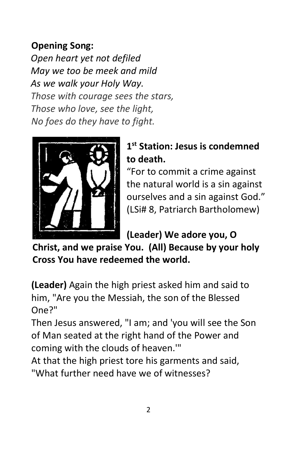## **Opening Song:**

*Open heart yet not defiled May we too be meek and mild As we walk your Holy Way. Those with courage sees the stars, Those who love, see the light, No foes do they have to fight.*



# **1 st Station: Jesus is condemned to death.**

"For to commit a crime against the natural world is a sin against ourselves and a sin against God." (LSi# 8, Patriarch Bartholomew)

**(Leader) We adore you, O** 

**Christ, and we praise You. (All) Because by your holy Cross You have redeemed the world.**

**(Leader)** Again the high priest asked him and said to him, "Are you the Messiah, the son of the Blessed One?"

Then Jesus answered, "I am; and 'you will see the Son of Man seated at the right hand of the Power and coming with the clouds of heaven.'"

At that the high priest tore his garments and said, "What further need have we of witnesses?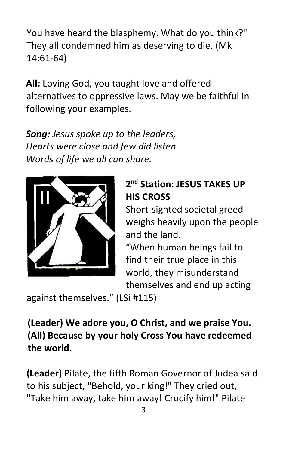You have heard the blasphemy. What do you think?" They all condemned him as deserving to die. (Mk 14:61-64)

**All:** Loving God, you taught love and offered alternatives to oppressive laws. May we be faithful in following your examples.

*Song: Jesus spoke up to the leaders, Hearts were close and few did listen Words of life we all can share.*



#### **2 nd Station: JESUS TAKES UP HIS CROSS**

Short-sighted societal greed weighs heavily upon the people and the land.

"When human beings fail to find their true place in this world, they misunderstand themselves and end up acting

against themselves." (LSi #115)

#### **(Leader) We adore you, O Christ, and we praise You. (All) Because by your holy Cross You have redeemed the world.**

**(Leader)** Pilate, the fifth Roman Governor of Judea said to his subject, "Behold, your king!" They cried out, "Take him away, take him away! Crucify him!" Pilate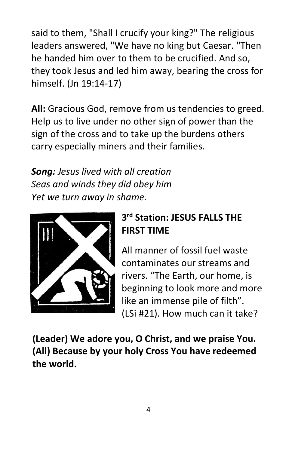said to them, "Shall I crucify your king?" The religious leaders answered, "We have no king but Caesar. "Then he handed him over to them to be crucified. And so, they took Jesus and led him away, bearing the cross for himself. (Jn 19:14-17)

**All:** Gracious God, remove from us tendencies to greed. Help us to live under no other sign of power than the sign of the cross and to take up the burdens others carry especially miners and their families.

*Song: Jesus lived with all creation Seas and winds they did obey him Yet we turn away in shame.*



# **3 rd Station: JESUS FALLS THE FIRST TIME**

All manner of fossil fuel waste contaminates our streams and rivers. "The Earth, our home, is beginning to look more and more like an immense pile of filth". (LSi #21). How much can it take?

**(Leader) We adore you, O Christ, and we praise You. (All) Because by your holy Cross You have redeemed the world.**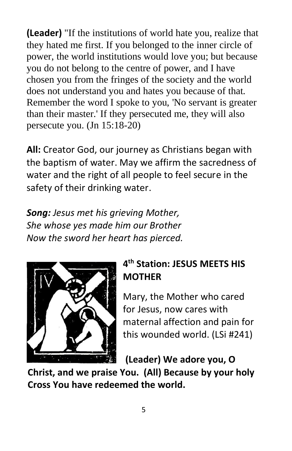**(Leader)** "If the institutions of world hate you, realize that they hated me first. If you belonged to the inner circle of power, the world institutions would love you; but because you do not belong to the centre of power, and I have chosen you from the fringes of the society and the world does not understand you and hates you because of that. Remember the word I spoke to you, 'No servant is greater than their master.' If they persecuted me, they will also persecute you. (Jn 15:18-20)

**All:** Creator God, our journey as Christians began with the baptism of water. May we affirm the sacredness of water and the right of all people to feel secure in the safety of their drinking water.

*Song: Jesus met his grieving Mother, She whose yes made him our Brother Now the sword her heart has pierced.* 



## **4 th Station: JESUS MEETS HIS MOTHER**

Mary, the Mother who cared for Jesus, now cares with maternal affection and pain for this wounded world. (LSi #241)

**(Leader) We adore you, O** 

**Christ, and we praise You. (All) Because by your holy Cross You have redeemed the world.**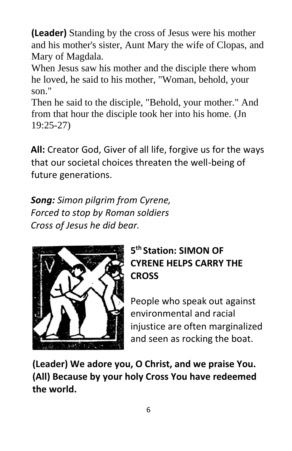**(Leader)** Standing by the cross of Jesus were his mother and his mother's sister, Aunt Mary the wife of Clopas, and Mary of Magdala.

When Jesus saw his mother and the disciple there whom he loved, he said to his mother, "Woman, behold, your son."

Then he said to the disciple, "Behold, your mother." And from that hour the disciple took her into his home. (Jn 19:25-27)

**All:** Creator God, Giver of all life, forgive us for the ways that our societal choices threaten the well-being of future generations.

*Song: Simon pilgrim from Cyrene, Forced to stop by Roman soldiers Cross of Jesus he did bear.* 



# **5 th Station: SIMON OF CYRENE HELPS CARRY THE CROSS**

People who speak out against environmental and racial injustice are often marginalized and seen as rocking the boat.

**(Leader) We adore you, O Christ, and we praise You. (All) Because by your holy Cross You have redeemed the world.**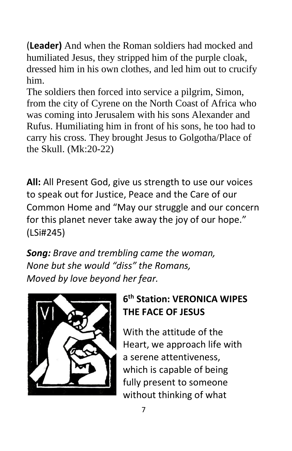(**Leader)** And when the Roman soldiers had mocked and humiliated Jesus, they stripped him of the purple cloak, dressed him in his own clothes, and led him out to crucify him.

The soldiers then forced into service a pilgrim, Simon, from the city of Cyrene on the North Coast of Africa who was coming into Jerusalem with his sons Alexander and Rufus. Humiliating him in front of his sons, he too had to carry his cross. They brought Jesus to Golgotha/Place of the Skull. (Mk:20-22)

**All:** All Present God, give us strength to use our voices to speak out for Justice, Peace and the Care of our Common Home and "May our struggle and our concern for this planet never take away the joy of our hope." (LSi#245)

*Song: Brave and trembling came the woman, None but she would "diss" the Romans, Moved by love beyond her fear.* 



#### **6 th Station: VERONICA WIPES THE FACE OF JESUS**

With the attitude of the Heart, we approach life with a serene attentiveness, which is capable of being fully present to someone without thinking of what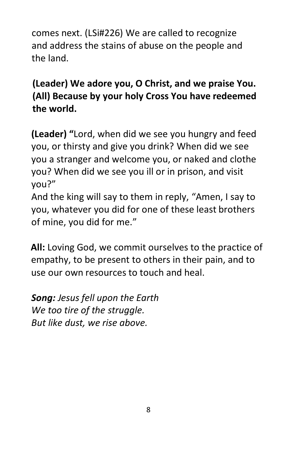comes next. (LSi#226) We are called to recognize and address the stains of abuse on the people and the land.

**(Leader) We adore you, O Christ, and we praise You. (All) Because by your holy Cross You have redeemed the world.**

**(Leader) "**Lord, when did we see you hungry and feed you, or thirsty and give you drink? When did we see you a stranger and welcome you, or naked and clothe you? When did we see you ill or in prison, and visit you?"

And the king will say to them in reply, "Amen, I say to you, whatever you did for one of these least brothers of mine, you did for me."

**All:** Loving God, we commit ourselves to the practice of empathy, to be present to others in their pain, and to use our own resources to touch and heal.

*Song: Jesus fell upon the Earth We too tire of the struggle. But like dust, we rise above.*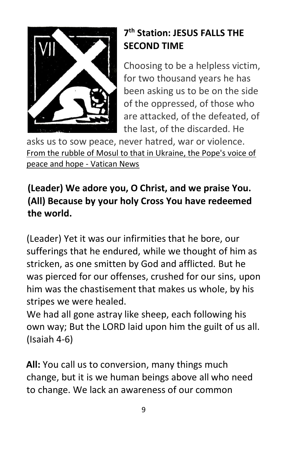

# **7 th Station: JESUS FALLS THE SECOND TIME**

Choosing to be a helpless victim, for two thousand years he has been asking us to be on the side of the oppressed, of those who are attacked, of the defeated, of the last, of the discarded. He

asks us to sow peace, never hatred, war or violence. [From the rubble of Mosul to that in Ukraine, the Pope's voice of](https://www.vaticannews.va/en/pope/news/2022-03/pope-francis-pontificate-anniversary-peace-hope-iraq-ukraine.html)  [peace and hope -](https://www.vaticannews.va/en/pope/news/2022-03/pope-francis-pontificate-anniversary-peace-hope-iraq-ukraine.html) Vatican News

# **(Leader) We adore you, O Christ, and we praise You. (All) Because by your holy Cross You have redeemed the world.**

(Leader) Yet it was our infirmities that he bore, our sufferings that he endured, while we thought of him as stricken, as one smitten by God and afflicted. But he was pierced for our offenses, crushed for our sins, upon him was the chastisement that makes us whole, by his stripes we were healed.

We had all gone astray like sheep, each following his own way; But the LORD laid upon him the guilt of us all. (Isaiah 4-6)

**All:** You call us to conversion, many things much change, but it is we human beings above all who need to change. We lack an awareness of our common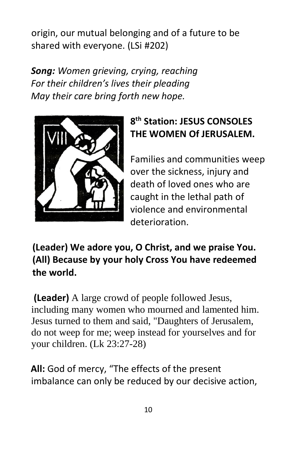origin, our mutual belonging and of a future to be shared with everyone. (LSi #202)

*Song: Women grieving, crying, reaching For their children's lives their pleading May their care bring forth new hope.*



## **8 th Station: JESUS CONSOLES THE WOMEN Of JERUSALEM.**

Families and communities weep over the sickness, injury and death of loved ones who are caught in the lethal path of violence and environmental deterioration.

**(Leader) We adore you, O Christ, and we praise You. (All) Because by your holy Cross You have redeemed the world.**

**(Leader)** A large crowd of people followed Jesus, including many women who mourned and lamented him. Jesus turned to them and said, "Daughters of Jerusalem, do not weep for me; weep instead for yourselves and for your children. (Lk 23:27-28)

**All:** God of mercy, "The effects of the present imbalance can only be reduced by our decisive action,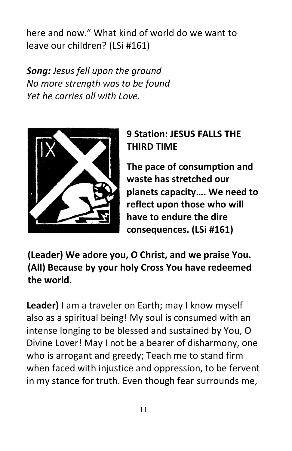here and now." What kind of world do we want to leave our children? (LSi #161)

*Song: Jesus fell upon the ground No more strength was to be found Yet he carries all with Love.*



## **9 Station: JESUS FALLS THE THIRD TIME**

**The pace of consumption and waste has stretched our planets capacity…. We need to reflect upon those who will have to endure the dire consequences. (LSi #161)**

**(Leader) We adore you, O Christ, and we praise You. (All) Because by your holy Cross You have redeemed the world.**

**Leader)** I am a traveler on Earth; may I know myself also as a spiritual being! My soul is consumed with an intense longing to be blessed and sustained by You, O Divine Lover! May I not be a bearer of disharmony, one who is arrogant and greedy; Teach me to stand firm when faced with injustice and oppression, to be fervent in my stance for truth. Even though fear surrounds me,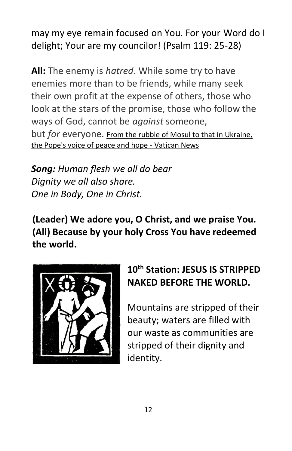may my eye remain focused on You. For your Word do I delight; Your are my councilor! (Psalm 119: 25-28)

**All:** The enemy is *hatred*. While some try to have enemies more than to be friends, while many seek their own profit at the expense of others, those who look at the stars of the promise, those who follow the ways of God, cannot be *against* someone, but *for* everyone. [From the rubble of Mosul to that in Ukraine,](https://www.vaticannews.va/en/pope/news/2022-03/pope-francis-pontificate-anniversary-peace-hope-iraq-ukraine.html)  [the Pope's voice of peace and hope -](https://www.vaticannews.va/en/pope/news/2022-03/pope-francis-pontificate-anniversary-peace-hope-iraq-ukraine.html) Vatican News

*Song: Human flesh we all do bear Dignity we all also share. One in Body, One in Christ.*

**(Leader) We adore you, O Christ, and we praise You. (All) Because by your holy Cross You have redeemed the world.**



# **10th Station: JESUS IS STRIPPED NAKED BEFORE THE WORLD.**

Mountains are stripped of their beauty; waters are filled with our waste as communities are stripped of their dignity and identity.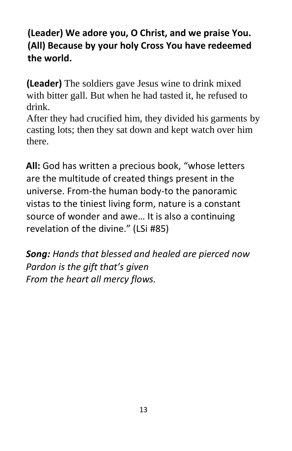#### **(Leader) We adore you, O Christ, and we praise You. (All) Because by your holy Cross You have redeemed the world.**

**(Leader)** The soldiers gave Jesus wine to drink mixed with bitter gall. But when he had tasted it, he refused to drink.

After they had crucified him, they divided his garments by casting lots; then they sat down and kept watch over him there.

**All:** God has written a precious book, "whose letters are the multitude of created things present in the universe. From-the human body-to the panoramic vistas to the tiniest living form, nature is a constant source of wonder and awe… It is also a continuing revelation of the divine." (LSi #85)

*Song: Hands that blessed and healed are pierced now Pardon is the gift that's given From the heart all mercy flows.*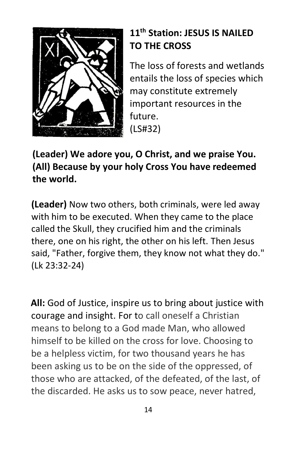

## **11th Station: JESUS IS NAILED TO THE CROSS**

The loss of forests and wetlands entails the loss of species which may constitute extremely important resources in the future. (LS#32)

#### **(Leader) We adore you, O Christ, and we praise You. (All) Because by your holy Cross You have redeemed the world.**

**(Leader)** Now two others, both criminals, were led away with him to be executed. When they came to the place called the Skull, they crucified him and the criminals there, one on his right, the other on his left. Then Jesus said, "Father, forgive them, they know not what they do." (Lk 23:32-24)

**All:** God of Justice, inspire us to bring about justice with courage and insight. For to call oneself a Christian means to belong to a God made Man, who allowed himself to be killed on the cross for love. Choosing to be a helpless victim, for two thousand years he has been asking us to be on the side of the oppressed, of those who are attacked, of the defeated, of the last, of the discarded. He asks us to sow peace, never hatred,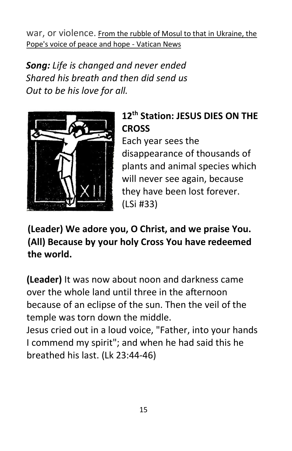war, or violence. [From the rubble of Mosul to that in Ukraine, the](https://www.vaticannews.va/en/pope/news/2022-03/pope-francis-pontificate-anniversary-peace-hope-iraq-ukraine.html)  [Pope's voice of peace and hope -](https://www.vaticannews.va/en/pope/news/2022-03/pope-francis-pontificate-anniversary-peace-hope-iraq-ukraine.html) Vatican News

*Song: Life is changed and never ended Shared his breath and then did send us Out to be his love for all.* 



**12th Station: JESUS DIES ON THE CROSS** 

Each year sees the disappearance of thousands of plants and animal species which will never see again, because they have been lost forever. (LSi #33)

**(Leader) We adore you, O Christ, and we praise You. (All) Because by your holy Cross You have redeemed the world.**

**(Leader)** It was now about noon and darkness came over the whole land until three in the afternoon because of an eclipse of the sun. Then the veil of the temple was torn down the middle.

Jesus cried out in a loud voice, "Father, into your hands I commend my spirit"; and when he had said this he breathed his last. (Lk 23:44-46)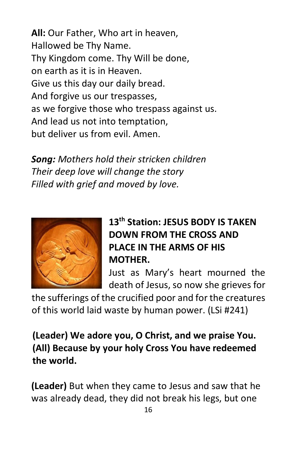**All:** Our Father, Who art in heaven, Hallowed be Thy Name. Thy Kingdom come. Thy Will be done, on earth as it is in Heaven. Give us this day our daily bread. And forgive us our trespasses, as we forgive those who trespass against us. And lead us not into temptation, but deliver us from evil. Amen.

*Song: Mothers hold their stricken children Their deep love will change the story Filled with grief and moved by love.*



# **13th Station: JESUS BODY IS TAKEN DOWN FROM THE CROSS AND PLACE IN THE ARMS OF HIS MOTHER.**

Just as Mary's heart mourned the death of Jesus, so now she grieves for

the sufferings of the crucified poor and for the creatures of this world laid waste by human power. (LSi #241)

**(Leader) We adore you, O Christ, and we praise You. (All) Because by your holy Cross You have redeemed the world.**

**(Leader)** But when they came to Jesus and saw that he was already dead, they did not break his legs, but one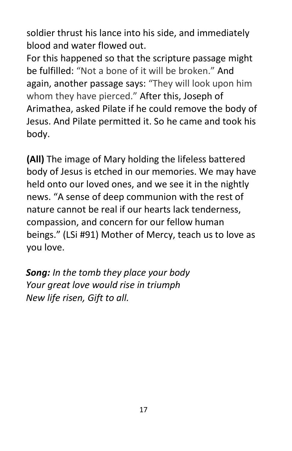soldier thrust his lance into his side, and immediately blood and water flowed out.

For this happened so that the scripture passage might be fulfilled: "Not a bone of it will be broken." And again, another passage says: "They will look upon him whom they have pierced." After this, Joseph of Arimathea, asked Pilate if he could remove the body of Jesus. And Pilate permitted it. So he came and took his body.

**(All)** The image of Mary holding the lifeless battered body of Jesus is etched in our memories. We may have held onto our loved ones, and we see it in the nightly news. "A sense of deep communion with the rest of nature cannot be real if our hearts lack tenderness, compassion, and concern for our fellow human beings." (LSi #91) Mother of Mercy, teach us to love as you love.

*Song: In the tomb they place your body Your great love would rise in triumph New life risen, Gift to all.*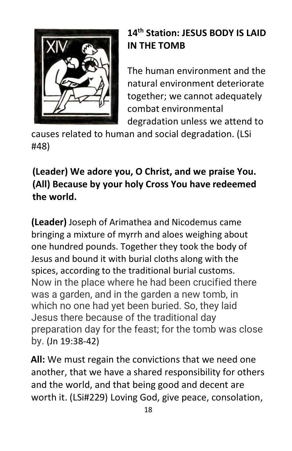

## **14th Station: JESUS BODY IS LAID IN THE TOMB**

The human environment and the natural environment deteriorate together; we cannot adequately combat environmental degradation unless we attend to

causes related to human and social degradation. (LSi #48)

# **(Leader) We adore you, O Christ, and we praise You. (All) Because by your holy Cross You have redeemed the world.**

**(Leader)** Joseph of Arimathea and Nicodemus came bringing a mixture of myrrh and aloes weighing about one hundred pounds. Together they took the body of Jesus and bound it with burial cloths along with the spices, according to the traditional burial customs. Now in the place where he had been crucified there was a garden, and in the garden a new tomb, in which no one had yet been buried. So, they laid Jesus there because of the traditional day preparation day for the feast; for the tomb was close by. (Jn 19:38-42)

**All:** We must regain the convictions that we need one another, that we have a shared responsibility for others and the world, and that being good and decent are worth it. (LSi#229) Loving God, give peace, consolation,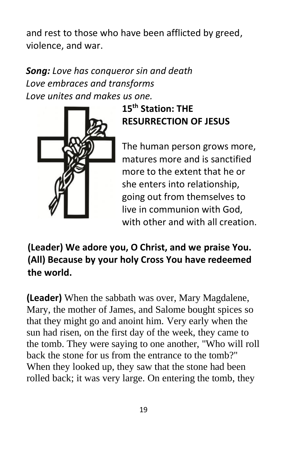and rest to those who have been afflicted by greed, violence, and war.

#### *Song: Love has conqueror sin and death Love embraces and transforms Love unites and makes us one.*



**15 th Station: THE RESURRECTION OF JESUS** 

The human person grows more, matures more and is sanctified more to the extent that he or she enters into relationship, going out from themselves to live in communion with God, with other and with all creation.

**(Leader) We adore you, O Christ, and we praise You. (All) Because by your holy Cross You have redeemed the world.**

**(Leader)** When the sabbath was over, Mary Magdalene, Mary, the mother of James, and Salome bought spices so that they might go and anoint him. Very early when the sun had risen, on the first day of the week, they came to the tomb. They were saying to one another, "Who will roll back the stone for us from the entrance to the tomb?" When they looked up, they saw that the stone had been rolled back; it was very large. On entering the tomb, they